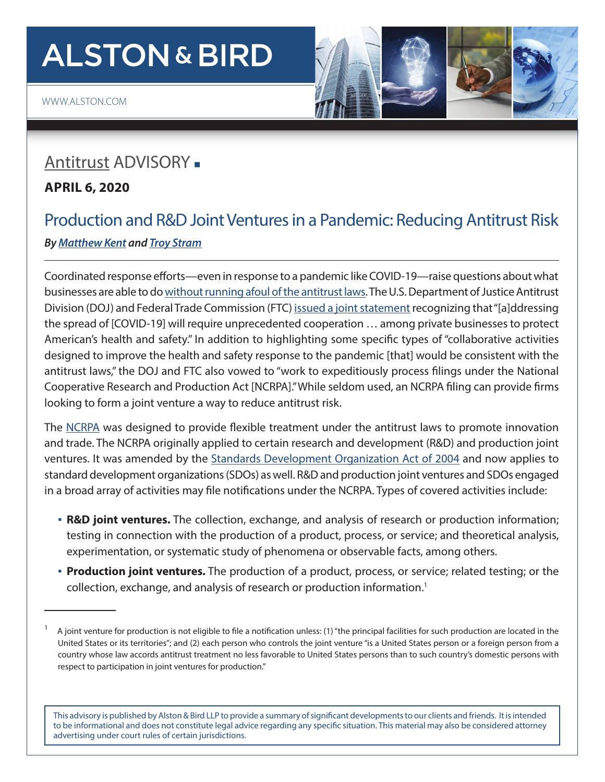# **ALSTON & BIRD**

## [Antitrust](http://www.alston.com/services/litigation/antitrust/) ADVISORY -

#### **APRIL 6, 2020**

## Production and R&D Joint Ventures in a Pandemic: Reducing Antitrust Risk *By [Matthew Kent](https://www.alston.com/en/professionals/k/kent-matthew-d) and [Troy Stram](https://www.alston.com/en/professionals/s/stram-troy)*

Coordinated response efforts—even in response to a pandemic like COVID-19—raise questions about what businesses are able to do [without running afoul of the antitrust laws.](https://www.alston.com/en/insights/publications/2020/03/avoiding-antitrust-risk/) The U.S. Department of Justice Antitrust Division (DOJ) and Federal Trade Commission (FTC) [issued a joint statement](https://www.ftc.gov/system/files/documents/public_statements/1569593/statement_on_coronavirus_ftc-doj-3-24-20.pdf) recognizing that "[a]ddressing the spread of [COVID-19] will require unprecedented cooperation … among private businesses to protect American's health and safety." In addition to highlighting some specific types of "collaborative activities designed to improve the health and safety response to the pandemic [that] would be consistent with the antitrust laws," the DOJ and FTC also vowed to "work to expeditiously process filings under the National Cooperative Research and Production Act [NCRPA]." While seldom used, an NCRPA filing can provide firms looking to form a joint venture a way to reduce antitrust risk.

The [NCRPA](https://uscode.house.gov/view.xhtml?req=granuleid%3AUSC-prelim-title15-chapter69&edition=prelim) was designed to provide flexible treatment under the antitrust laws to promote innovation and trade. The NCRPA originally applied to certain research and development (R&D) and production joint ventures. It was amended by the [Standards Development Organization Act of 2004](https://uscode.house.gov/view.xhtml?req=granuleid%3AUSC-prelim-title15-section4301&edition=prelim) and now applies to standard development organizations (SDOs) as well. R&D and production joint ventures and SDOs engaged in a broad array of activities may file notifications under the NCRPA. Types of covered activities include:

- **R&D joint ventures.** The collection, exchange, and analysis of research or production information; testing in connection with the production of a product, process, or service; and theoretical analysis, experimentation, or systematic study of phenomena or observable facts, among others.
- **Production joint ventures.** The production of a product, process, or service; related testing; or the collection, exchange, and analysis of research or production information.<sup>1</sup>

This advisory is published by Alston & Bird LLP to provide a summary of significant developments to our clients and friends. It is intended to be informational and does not constitute legal advice regarding any specific situation. This material may also be considered attorney advertising under court rules of certain jurisdictions.

<sup>1</sup> A joint venture for production is not eligible to file a notification unless: (1) "the principal facilities for such production are located in the United States or its territories"; and (2) each person who controls the joint venture "is a United States person or a foreign person from a country whose law accords antitrust treatment no less favorable to United States persons than to such country's domestic persons with respect to participation in joint ventures for production."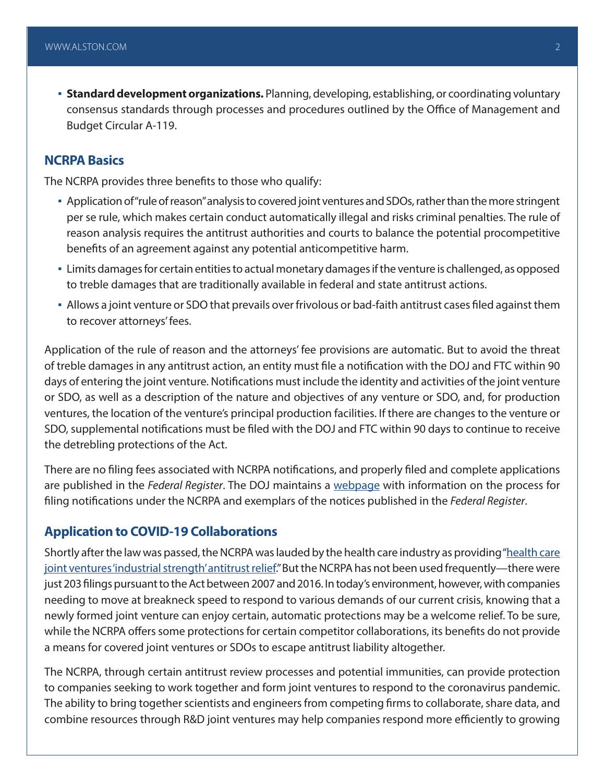▪ **Standard development organizations.** Planning, developing, establishing, or coordinating voluntary consensus standards through processes and procedures outlined by the Office of Management and Budget Circular A-119.

#### **NCRPA Basics**

The NCRPA provides three benefits to those who qualify:

- Application of "rule of reason" analysis to covered joint ventures and SDOs, rather than the more stringent per se rule, which makes certain conduct automatically illegal and risks criminal penalties. The rule of reason analysis requires the antitrust authorities and courts to balance the potential procompetitive benefits of an agreement against any potential anticompetitive harm.
- Limits damages for certain entities to actual monetary damages if the venture is challenged, as opposed to treble damages that are traditionally available in federal and state antitrust actions.
- Allows a joint venture or SDO that prevails over frivolous or bad-faith antitrust cases filed against them to recover attorneys' fees.

Application of the rule of reason and the attorneys' fee provisions are automatic. But to avoid the threat of treble damages in any antitrust action, an entity must file a notification with the DOJ and FTC within 90 days of entering the joint venture. Notifications must include the identity and activities of the joint venture or SDO, as well as a description of the nature and objectives of any venture or SDO, and, for production ventures, the location of the venture's principal production facilities. If there are changes to the venture or SDO, supplemental notifications must be filed with the DOJ and FTC within 90 days to continue to receive the detrebling protections of the Act.

There are no filing fees associated with NCRPA notifications, and properly filed and complete applications are published in the *Federal Register*. The DOJ maintains a [webpage](https://www.justice.gov/atr/filing-notification-under-ncrpa) with information on the process for filing notifications under the NCRPA and exemplars of the notices published in the *Federal Register*.

#### **Application to COVID-19 Collaborations**

Shortly after the law was passed, the NCRPA was lauded by the health care industry as providing ["health care](https://www.modernhealthcare.com/article/19960923/NEWS/609230336/a-new-way-to-spell-relief-from-antitrust-ncrpa) [joint ventures 'industrial strength' antitrust relief](https://www.modernhealthcare.com/article/19960923/NEWS/609230336/a-new-way-to-spell-relief-from-antitrust-ncrpa)." But the NCRPA has not been used frequently—there were just 203 filings pursuant to the Act between 2007 and 2016. In today's environment, however, with companies needing to move at breakneck speed to respond to various demands of our current crisis, knowing that a newly formed joint venture can enjoy certain, automatic protections may be a welcome relief. To be sure, while the NCRPA offers some protections for certain competitor collaborations, its benefits do not provide a means for covered joint ventures or SDOs to escape antitrust liability altogether.

The NCRPA, through certain antitrust review processes and potential immunities, can provide protection to companies seeking to work together and form joint ventures to respond to the coronavirus pandemic. The ability to bring together scientists and engineers from competing firms to collaborate, share data, and combine resources through R&D joint ventures may help companies respond more efficiently to growing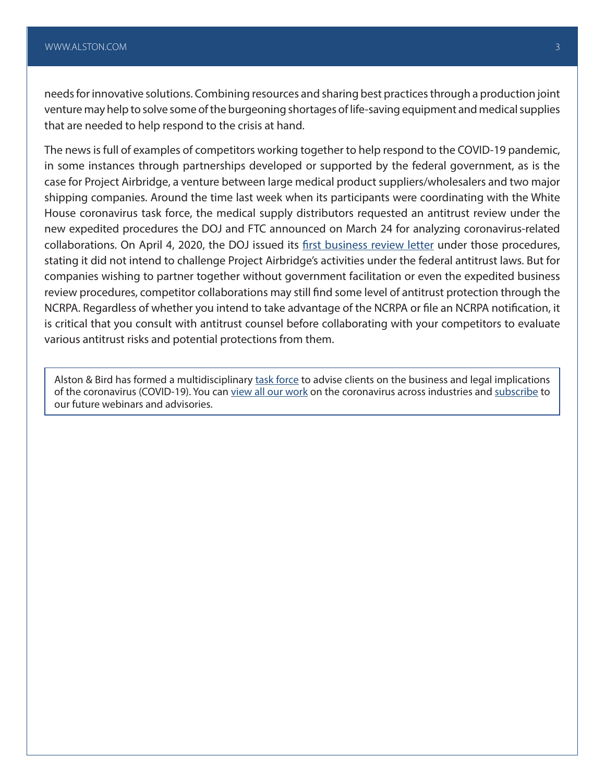needs for innovative solutions. Combining resources and sharing best practices through a production joint venture may help to solve some of the burgeoning shortages of life-saving equipment and medical supplies that are needed to help respond to the crisis at hand.

The news is full of examples of competitors working together to help respond to the COVID-19 pandemic, in some instances through partnerships developed or supported by the federal government, as is the case for Project Airbridge, a venture between large medical product suppliers/wholesalers and two major shipping companies. Around the time last week when its participants were coordinating with the White House coronavirus task force, the medical supply distributors requested an antitrust review under the new expedited procedures the DOJ and FTC announced on March 24 for analyzing coronavirus-related collaborations. On April 4, 2020, the DOJ issued its [first business review letter](https://www.justice.gov/opa/press-release/file/1266541/download) under those procedures, stating it did not intend to challenge Project Airbridge's activities under the federal antitrust laws. But for companies wishing to partner together without government facilitation or even the expedited business review procedures, competitor collaborations may still find some level of antitrust protection through the NCRPA. Regardless of whether you intend to take advantage of the NCRPA or file an NCRPA notification, it is critical that you consult with antitrust counsel before collaborating with your competitors to evaluate various antitrust risks and potential protections from them.

Alston & Bird has formed a multidisciplinary [task force](https://www.alston.com/en/resources/coronavirus/overview) to advise clients on the business and legal implications of the coronavirus (COVID-19). You can [view all our work](https://www.alston.com/en/insights/?keyword=Coronavirus&reload=false&scroll=499.7685546875) on the coronavirus across industries and [subscribe](https://www.alston.com/en/resources/subscriptions-form) to our future webinars and advisories.